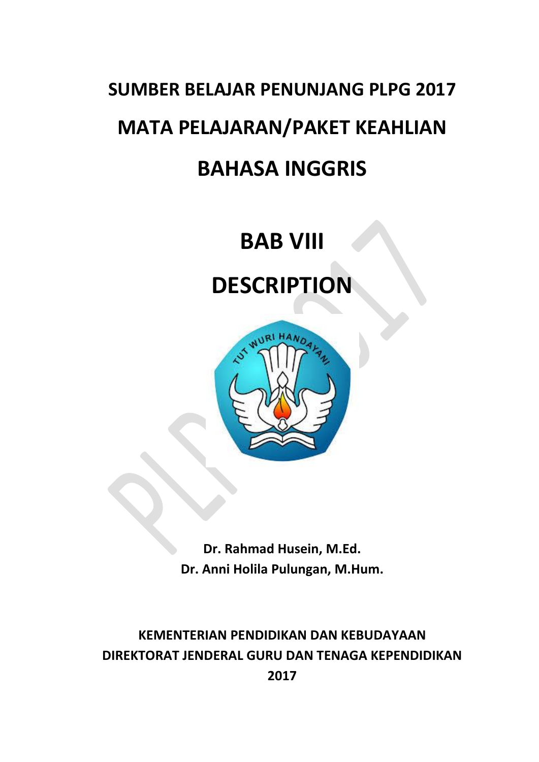# **SUMBER BELAJAR PENUNJANG PLPG 2017 MATA PELAJARAN/PAKET KEAHLIAN BAHASA INGGRIS**

# **BAB VIII**

# **DESCRIPTION**



**Dr. Rahmad Husein, M.Ed. Dr. Anni Holila Pulungan, M.Hum.**

**KEMENTERIAN PENDIDIKAN DAN KEBUDAYAAN DIREKTORAT JENDERAL GURU DAN TENAGA KEPENDIDIKAN 2017**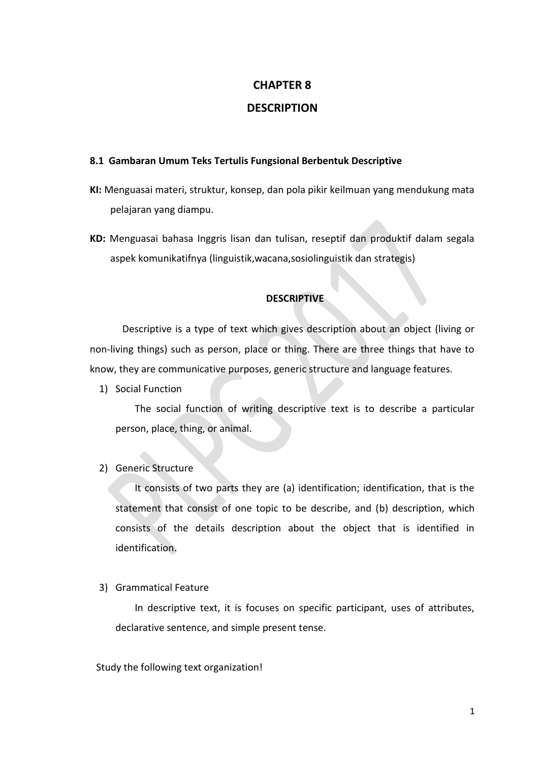## **CHAPTER 8**

# **DESCRIPTION**

### **8.1 Gambaran Umum Teks Tertulis Fungsional Berbentuk Descriptive**

- **KI:** Menguasai materi, struktur, konsep, dan pola pikir keilmuan yang mendukung mata pelajaran yang diampu.
- **KD:** Menguasai bahasa Inggris lisan dan tulisan, reseptif dan produktif dalam segala aspek komunikatifnya (linguistik,wacana,sosiolinguistik dan strategis)

### **DESCRIPTIVE**

Descriptive is a type of text which gives description about an object (living or non-living things) such as person, place or thing. There are three things that have to know, they are communicative purposes, generic structure and language features.

1) Social Function

The social function of writing descriptive text is to describe a particular person, place, thing, or animal.

2) Generic Structure

It consists of two parts they are (a) identification; identification, that is the statement that consist of one topic to be describe, and (b) description, which consists of the details description about the object that is identified in identification.

3) Grammatical Feature

In descriptive text, it is focuses on specific participant, uses of attributes, declarative sentence, and simple present tense.

Study the following text organization!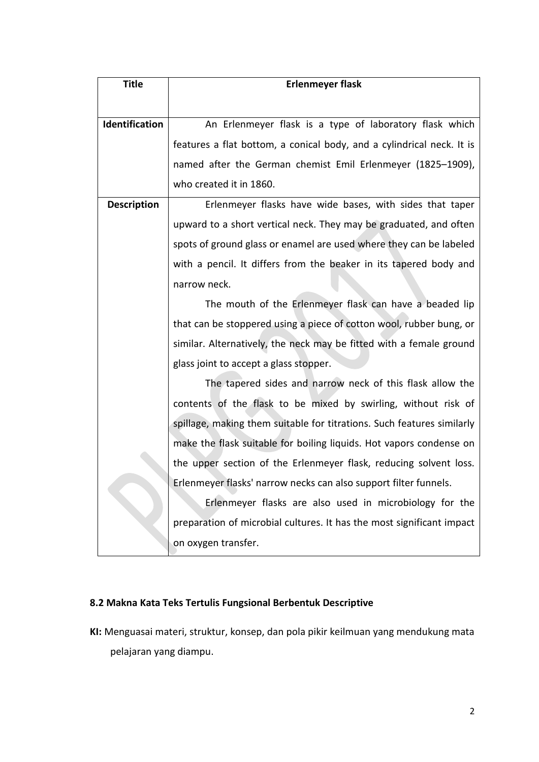| <b>Title</b>          | <b>Erlenmeyer flask</b>                                                |
|-----------------------|------------------------------------------------------------------------|
|                       |                                                                        |
| <b>Identification</b> | An Erlenmeyer flask is a type of laboratory flask which                |
|                       | features a flat bottom, a conical body, and a cylindrical neck. It is  |
|                       | named after the German chemist Emil Erlenmeyer (1825-1909),            |
|                       | who created it in 1860.                                                |
| <b>Description</b>    | Erlenmeyer flasks have wide bases, with sides that taper               |
|                       | upward to a short vertical neck. They may be graduated, and often      |
|                       | spots of ground glass or enamel are used where they can be labeled     |
|                       | with a pencil. It differs from the beaker in its tapered body and      |
|                       | narrow neck.                                                           |
|                       | The mouth of the Erlenmeyer flask can have a beaded lip                |
|                       | that can be stoppered using a piece of cotton wool, rubber bung, or    |
|                       | similar. Alternatively, the neck may be fitted with a female ground    |
|                       | glass joint to accept a glass stopper.                                 |
|                       | The tapered sides and narrow neck of this flask allow the              |
|                       | contents of the flask to be mixed by swirling, without risk of         |
|                       | spillage, making them suitable for titrations. Such features similarly |
|                       | make the flask suitable for boiling liquids. Hot vapors condense on    |
|                       | the upper section of the Erlenmeyer flask, reducing solvent loss.      |
|                       | Erlenmeyer flasks' narrow necks can also support filter funnels.       |
|                       | Erlenmeyer flasks are also used in microbiology for the                |
|                       | preparation of microbial cultures. It has the most significant impact  |
|                       | on oxygen transfer.                                                    |

# **8.2 Makna Kata Teks Tertulis Fungsional Berbentuk Descriptive**

**KI:** Menguasai materi, struktur, konsep, dan pola pikir keilmuan yang mendukung mata pelajaran yang diampu.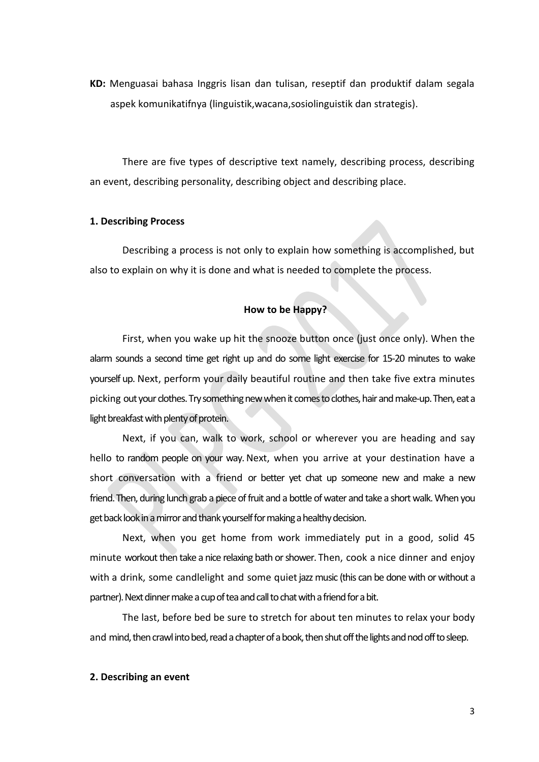**KD:** Menguasai bahasa Inggris lisan dan tulisan, reseptif dan produktif dalam segala aspek komunikatifnya (linguistik,wacana,sosiolinguistik dan strategis).

There are five types of descriptive text namely, describing process, describing an event, describing personality, describing object and describing place.

#### **1. Describing Process**

Describing a process is not only to explain how something is accomplished, but also to explain on why it is done and what is needed to complete the process.

#### **How to be Happy?**

First, when you wake up hit the snooze button once (just once only). When the alarm sounds a second time get right up and do some light exercise for 15-20 minutes to wake yourself up. Next, perform your daily beautiful routine and then take five extra minutes picking out your clothes. Try something new when it comes to clothes, hair and make-up. Then, eat a light breakfast with plenty of protein.

Next, if you can, walk to work, school or wherever you are heading and say hello to random people on your way. Next, when you arrive at your destination have a short conversation with a friend or better yet chat up someone new and make a new friend.Then, during lunch grab a piece offruit and a bottle of water and take a short walk.When you get back look in a mirror and thank yourself for making a healthy decision.

Next, when you get home from work immediately put in a good, solid 45 minute workout then take a nice relaxing bath or shower. Then, cook a nice dinner and enjoy with a drink, some candlelight and some quiet jazz music (this can be done with or without a partner). Next dinner make a cup of tea and call to chat with a friend for a bit.

The last, before bed be sure to stretch for about ten minutes to relax your body and mind, then crawl into bed, read a chapter of a book, then shut off the lights and nod off to sleep.

#### **2. Describing an event**

3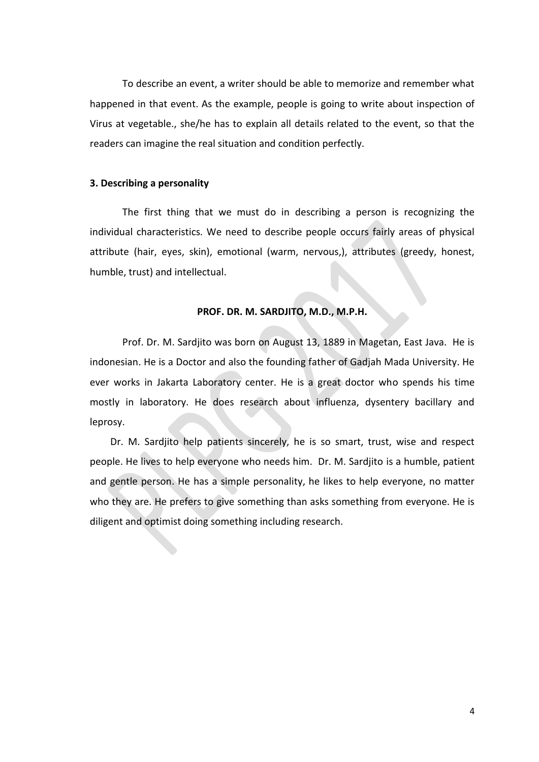To describe an event, a writer should be able to memorize and remember what happened in that event. As the example, people is going to write about inspection of Virus at vegetable., she/he has to explain all details related to the event, so that the readers can imagine the real situation and condition perfectly.

#### **3. Describing a personality**

The first thing that we must do in describing a person is recognizing the individual characteristics. We need to describe people occurs fairly areas of physical attribute (hair, eyes, skin), emotional (warm, nervous,), attributes (greedy, honest, humble, trust) and intellectual.

#### **PROF. DR. M. SARDJITO, M.D., M.P.H.**

Prof. Dr. M. Sardjito was born on August 13, 1889 in Magetan, East Java. He is indonesian. He is a Doctor and also the founding father of Gadjah Mada University. He ever works in Jakarta Laboratory center. He is a great doctor who spends his time mostly in laboratory. He does research about influenza, dysentery bacillary and leprosy.

Dr. M. Sardjito help patients sincerely, he is so smart, trust, wise and respect people. He lives to help everyone who needs him. Dr. M. Sardjito is a humble, patient and gentle person. He has a simple personality, he likes to help everyone, no matter who they are. He prefers to give something than asks something from everyone. He is diligent and optimist doing something including research.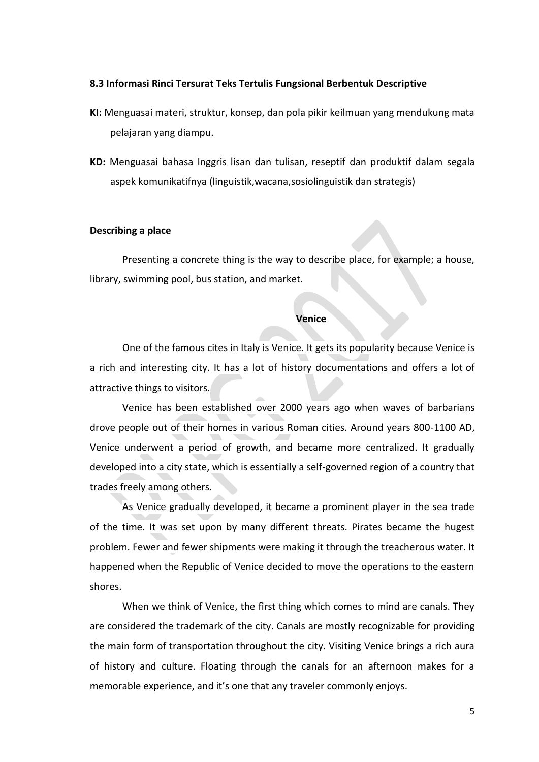#### **8.3 Informasi Rinci Tersurat Teks Tertulis Fungsional Berbentuk Descriptive**

- **KI:** Menguasai materi, struktur, konsep, dan pola pikir keilmuan yang mendukung mata pelajaran yang diampu.
- **KD:** Menguasai bahasa Inggris lisan dan tulisan, reseptif dan produktif dalam segala aspek komunikatifnya (linguistik,wacana,sosiolinguistik dan strategis)

#### **Describing a place**

Presenting a concrete thing is the way to describe place, for example; a house, library, swimming pool, bus station, and market.

#### **Venice**

One of the famous cites in Italy is Venice. It gets its popularity because Venice is a rich and interesting city. It has a lot of history documentations and offers a lot of attractive things to visitors.

Venice has been established over 2000 years ago when waves of barbarians drove people out of their homes in various Roman cities. Around years 800-1100 AD, Venice underwent a period of growth, and became more centralized. It gradually developed into a city state, which is essentially a self-governed region of a country that trades freely among others.

As Venice gradually developed, it became a prominent player in the sea trade of the time. It was set upon by many different threats. Pirates became the hugest problem. Fewer and fewer shipments were making it through the treacherous water. It happened when the Republic of Venice decided to move the operations to the eastern shores.

When we think of Venice, the first thing which comes to mind are canals. They are considered the trademark of the city. Canals are mostly recognizable for providing the main form of transportation throughout the city. Visiting Venice brings a rich aura of history and culture. Floating through the canals for an afternoon makes for a memorable experience, and it's one that any traveler commonly enjoys.